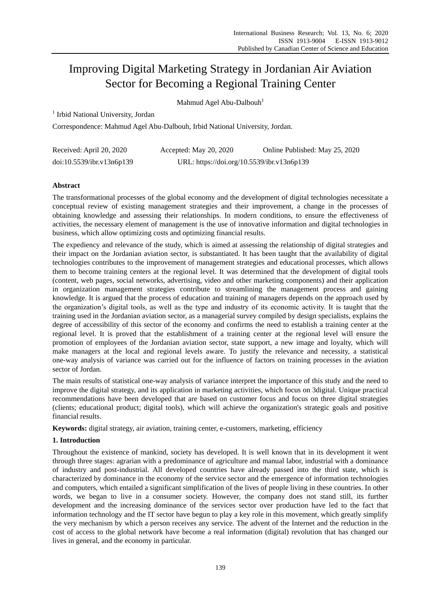# Improving Digital Marketing Strategy in Jordanian Air Aviation Sector for Becoming a Regional Training Center

Mahmud Agel Abu-Dalbouh<sup>1</sup>

<sup>1</sup> Irbid National University, Jordan

Correspondence: Mahmud Agel Abu-Dalbouh, Irbid National University, Jordan.

| Received: April 20, 2020  | Accepted: May 20, 2020                     | Online Published: May 25, 2020 |
|---------------------------|--------------------------------------------|--------------------------------|
| doi:10.5539/ibr.v13n6p139 | URL: https://doi.org/10.5539/ibr.v13n6p139 |                                |

# **Abstract**

The transformational processes of the global economy and the development of digital technologies necessitate a conceptual review of existing management strategies and their improvement, a change in the processes of obtaining knowledge and assessing their relationships. In modern conditions, to ensure the effectiveness of activities, the necessary element of management is the use of innovative information and digital technologies in business, which allow optimizing costs and optimizing financial results.

The expediency and relevance of the study, which is aimed at assessing the relationship of digital strategies and their impact on the Jordanian aviation sector, is substantiated. It has been taught that the availability of digital technologies contributes to the improvement of management strategies and educational processes, which allows them to become training centers at the regional level. It was determined that the development of digital tools (content, web pages, social networks, advertising, video and other marketing components) and their application in organization management strategies contribute to streamlining the management process and gaining knowledge. It is argued that the process of education and training of managers depends on the approach used by the organization's digital tools, as well as the type and industry of its economic activity. It is taught that the training used in the Jordanian aviation sector, as a managerial survey compiled by design specialists, explains the degree of accessibility of this sector of the economy and confirms the need to establish a training center at the regional level. It is proved that the establishment of a training center at the regional level will ensure the promotion of employees of the Jordanian aviation sector, state support, a new image and loyalty, which will make managers at the local and regional levels aware. To justify the relevance and necessity, a statistical one-way analysis of variance was carried out for the influence of factors on training processes in the aviation sector of Jordan.

The main results of statistical one-way analysis of variance interpret the importance of this study and the need to improve the digital strategy, and its application in marketing activities, which focus on 3digital. Unique practical recommendations have been developed that are based on customer focus and focus on three digital strategies (clients; educational product; digital tools), which will achieve the organization's strategic goals and positive financial results.

**Keywords:** digital strategy, air aviation, training center, e-customers, marketing, efficiency

# **1. Introduction**

Throughout the existence of mankind, society has developed. It is well known that in its development it went through three stages: agrarian with a predominance of agriculture and manual labor, industrial with a dominance of industry and post-industrial. All developed countries have already passed into the third state, which is characterized by dominance in the economy of the service sector and the emergence of information technologies and computers, which entailed a significant simplification of the lives of people living in these countries. In other words, we began to live in a consumer society. However, the company does not stand still, its further development and the increasing dominance of the services sector over production have led to the fact that information technology and the IT sector have begun to play a key role in this movement, which greatly simplify the very mechanism by which a person receives any service. The advent of the Internet and the reduction in the cost of access to the global network have become a real information (digital) revolution that has changed our lives in general, and the economy in particular.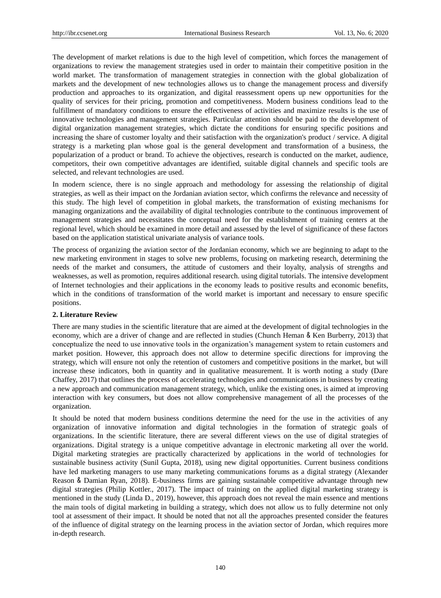The development of market relations is due to the high level of competition, which forces the management of organizations to review the management strategies used in order to maintain their competitive position in the world market. The transformation of management strategies in connection with the global globalization of markets and the development of new technologies allows us to change the management process and diversify production and approaches to its organization, and digital reassessment opens up new opportunities for the quality of services for their pricing, promotion and competitiveness. Modern business conditions lead to the fulfillment of mandatory conditions to ensure the effectiveness of activities and maximize results is the use of innovative technologies and management strategies. Particular attention should be paid to the development of digital organization management strategies, which dictate the conditions for ensuring specific positions and increasing the share of customer loyalty and their satisfaction with the organization's product / service. A digital strategy is a marketing plan whose goal is the general development and transformation of a business, the popularization of a product or brand. To achieve the objectives, research is conducted on the market, audience, competitors, their own competitive advantages are identified, suitable digital channels and specific tools are selected, and relevant technologies are used.

In modern science, there is no single approach and methodology for assessing the relationship of digital strategies, as well as their impact on the Jordanian aviation sector, which confirms the relevance and necessity of this study. The high level of competition in global markets, the transformation of existing mechanisms for managing organizations and the availability of digital technologies contribute to the continuous improvement of management strategies and necessitates the conceptual need for the establishment of training centers at the regional level, which should be examined in more detail and assessed by the level of significance of these factors based on the application statistical univariate analysis of variance tools.

The process of organizing the aviation sector of the Jordanian economy, which we are beginning to adapt to the new marketing environment in stages to solve new problems, focusing on marketing research, determining the needs of the market and consumers, the attitude of customers and their loyalty, analysis of strengths and weaknesses, as well as promotion, requires additional research. using digital tutorials. The intensive development of Internet technologies and their applications in the economy leads to positive results and economic benefits, which in the conditions of transformation of the world market is important and necessary to ensure specific positions.

#### **2. Literature Review**

There are many studies in the scientific literature that are aimed at the development of digital technologies in the economy, which are a driver of change and are reflected in studies (Chunch Heman & Ken Burberry, 2013) that conceptualize the need to use innovative tools in the organization's management system to retain customers and market position. However, this approach does not allow to determine specific directions for improving the strategy, which will ensure not only the retention of customers and competitive positions in the market, but will increase these indicators, both in quantity and in qualitative measurement. It is worth noting a study (Dare Chaffey, 2017) that outlines the process of accelerating technologies and communications in business by creating a new approach and communication management strategy, which, unlike the existing ones, is aimed at improving interaction with key consumers, but does not allow comprehensive management of all the processes of the organization.

It should be noted that modern business conditions determine the need for the use in the activities of any organization of innovative information and digital technologies in the formation of strategic goals of organizations. In the scientific literature, there are several different views on the use of digital strategies of organizations. Digital strategy is a unique competitive advantage in electronic marketing all over the world. Digital marketing strategies are practically characterized by applications in the world of technologies for sustainable business activity (Sunil Gupta, 2018), using new digital opportunities. Current business conditions have led marketing managers to use many marketing communications forums as a digital strategy (Alexander Reason & Damian Ryan, 2018). E-business firms are gaining sustainable competitive advantage through new digital strategies (Philip Kоttler., 2017). The impact of training on the applied digital marketing strategy is mentioned in the study (Linda D., 2019), however, this approach does not reveal the main essence and mentions the main tools of digital marketing in building a strategy, which does not allow us to fully determine not only tool at assessment of their impact. It should be noted that not all the approaches presented consider the features of the influence of digital strategy on the learning process in the aviation sector of Jordan, which requires more in-depth research.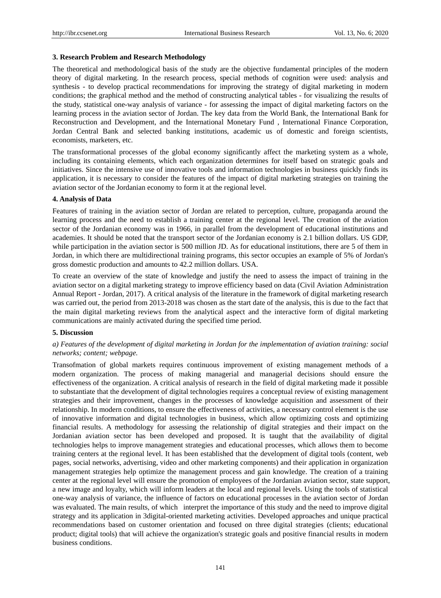#### **3. Research Problem and Research Methodology**

The theoretical and methodological basis of the study are the objective fundamental principles of the modern theory of digital marketing. In the research process, special methods of cognition were used: analysis and synthesis - to develop practical recommendations for improving the strategy of digital marketing in modern conditions; the graphical method and the method of constructing analytical tables - for visualizing the results of the study, statistical one-way analysis of variance - for assessing the impact of digital marketing factors on the learning process in the aviation sector of Jordan. The key data from the World Bank, the International Bank for Reconstruction and Development, and the International Monetary Fund , International Finance Corporation, Jordan Central Bank and selected banking institutions, academic us of domestic and foreign scientists, economists, marketers, etc.

The transformational processes of the global economy significantly affect the marketing system as a whole, including its containing elements, which each organization determines for itself based on strategic goals and initiatives. Since the intensive use of innovative tools and information technologies in business quickly finds its application, it is necessary to consider the features of the impact of digital marketing strategies on training the aviation sector of the Jordanian economy to form it at the regional level.

### **4. Analysis of Data**

Features of training in the aviation sector of Jordan are related to perception, culture, propaganda around the learning process and the need to establish a training center at the regional level. The creation of the aviation sector of the Jordanian economy was in 1966, in parallel from the development of educational institutions and academies. It should be noted that the transport sector of the Jordanian economy is 2.1 billion dollars. US GDP, while participation in the aviation sector is 500 million JD. As for educational institutions, there are 5 of them in Jordan, in which there are multidirectional training programs, this sector occupies an example of 5% of Jordan's gross domestic production and amounts to 42.2 million dollars. USA.

To create an overview of the state of knowledge and justify the need to assess the impact of training in the aviation sector on a digital marketing strategy to improve efficiency based on data (Civil Aviation Administration Annual Report - Jordan, 2017). A critical analysis of the literature in the framework of digital marketing research was carried out, the period from 2013-2018 was chosen as the start date of the analysis, this is due to the fact that the main digital marketing reviews from the analytical aspect and the interactive form of digital marketing communications are mainly activated during the specified time period.

#### **5. Discussion**

# *a) Features of the development of digital marketing in Jordan for the implementation of aviation training: social networks; content; webpage.*

Transofmation of global markets requires continuous improvement of existing management methods of a modern organization. The process of making managerial and managerial decisions should ensure the effectiveness of the organization. A critical analysis of research in the field of digital marketing made it possible to substantiate that the development of digital technologies requires a conceptual review of existing management strategies and their improvement, changes in the processes of knowledge acquisition and assessment of their relationship. In modern conditions, to ensure the effectiveness of activities, a necessary control element is the use of innovative information and digital technologies in business, which allow optimizing costs and optimizing financial results. A methodology for assessing the relationship of digital strategies and their impact on the Jordanian aviation sector has been developed and proposed. It is taught that the availability of digital technologies helps to improve management strategies and educational processes, which allows them to become training centers at the regional level. It has been established that the development of digital tools (content, web pages, social networks, advertising, video and other marketing components) and their application in organization management strategies help optimize the management process and gain knowledge. The creation of a training center at the regional level will ensure the promotion of employees of the Jordanian aviation sector, state support, a new image and loyalty, which will inform leaders at the local and regional levels. Using the tools of statistical one-way analysis of variance, the influence of factors on educational processes in the aviation sector of Jordan was evaluated. The main results, of which interpret the importance of this study and the need to improve digital strategy and its application in 3digital-oriented marketing activities. Developed approaches and unique practical recommendations based on customer orientation and focused on three digital strategies (clients; educational product; digital tools) that will achieve the organization's strategic goals and positive financial results in modern business conditions.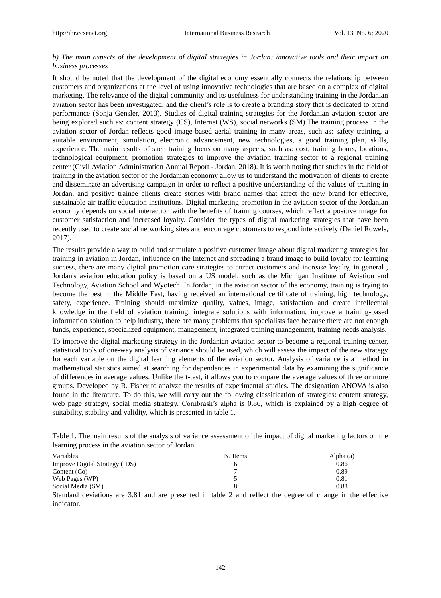## *b) The main aspects of the development of digital strategies in Jordan: innovative tools and their impact on business processes*

It should be noted that the development of the digital economy essentially connects the relationship between customers and organizations at the level of using innovative technologies that are based on a complex of digital marketing. The relevance of the digital community and its usefulness for understanding training in the Jordanian aviation sector has been investigated, and the client's role is to create a branding story that is dedicated to brand performance (Sonja Gensler, 2013). Studies of digital training strategies for the Jordanian aviation sector are being explored such as: content strategy (CS), Internet (WS), social networks (SM).The training process in the aviation sector of Jordan reflects good image-based aerial training in many areas, such as: safety training, a suitable environment, simulation, electronic advancement, new technologies, a good training plan, skills, experience. The main results of such training focus on many aspects, such as: cost, training hours, locations, technological equipment, promotion strategies to improve the aviation training sector to a regional training center (Civil Aviation Administration Annual Report - Jordan, 2018). It is worth noting that studies in the field of training in the aviation sector of the Jordanian economy allow us to understand the motivation of clients to create and disseminate an advertising campaign in order to reflect a positive understanding of the values of training in Jordan, and positive trainee clients create stories with brand names that affect the new brand for effective, sustainable air traffic education institutions. Digital marketing promotion in the aviation sector of the Jordanian economy depends on social interaction with the benefits of training courses, which reflect a positive image for customer satisfaction and increased loyalty. Consider the types of digital marketing strategies that have been recently used to create social networking sites and encourage customers to respond interactively (Daniel Rowels, 2017).

The results provide a way to build and stimulate a positive customer image about digital marketing strategies for training in aviation in Jordan, influence on the Internet and spreading a brand image to build loyalty for learning success, there are many digital promotion care strategies to attract customers and increase loyalty, in general , Jordan's aviation education policy is based on a US model, such as the Michigan Institute of Aviation and Technology, Aviation School and Wyotech. In Jordan, in the aviation sector of the economy, training is trying to become the best in the Middle East, having received an international certificate of training, high technology, safety, experience. Training should maximize quality, values, image, satisfaction and create intellectual knowledge in the field of aviation training, integrate solutions with information, improve a training-based information solution to help industry, there are many problems that specialists face because there are not enough funds, experience, specialized equipment, management, integrated training management, training needs analysis.

To improve the digital marketing strategy in the Jordanian aviation sector to become a regional training center, statistical tools of one-way analysis of variance should be used, which will assess the impact of the new strategy for each variable on the digital learning elements of the aviation sector. Analysis of variance is a method in mathematical statistics aimed at searching for dependences in experimental data by examining the significance of differences in average values. Unlike the t-test, it allows you to compare the average values of three or more groups. Developed by R. Fisher to analyze the results of experimental studies. The designation ANOVA is also found in the literature. To do this, we will carry out the following classification of strategies: content strategy, web page strategy, social media strategy. Cornbrash's alpha is 0.86, which is explained by a high degree of suitability, stability and validity, which is presented in table 1.

| Table 1. The main results of the analysis of variance assessment of the impact of digital marketing factors on the |  |  |  |
|--------------------------------------------------------------------------------------------------------------------|--|--|--|
| learning process in the aviation sector of Jordan                                                                  |  |  |  |

| Variables                      | N. Items | Alpha (a) |
|--------------------------------|----------|-----------|
| Improve Digital Strategy (IDS) |          | 0.86      |
| Content $(Co)$                 |          | 0.89      |
| Web Pages (WP)                 |          | 0.81      |
| Social Media (SM)              |          | 0.88      |

Standard deviations are 3.81 and are presented in table 2 and reflect the degree of change in the effective indicator.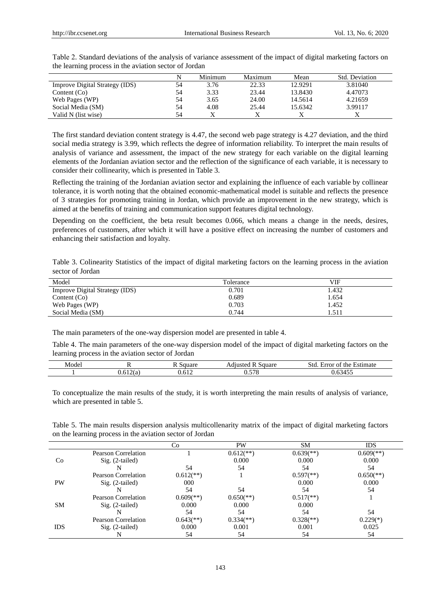|                                |    | Minimum | Maximum | Mean    | <b>Std.</b> Deviation |
|--------------------------------|----|---------|---------|---------|-----------------------|
| Improve Digital Strategy (IDS) | 54 | 3.76    | 22.33   | 12.9291 | 3.81040               |
| Content $(Co)$                 | 54 | 3.33    | 23.44   | 13.8430 | 4.47073               |
| Web Pages (WP)                 | 54 | 3.65    | 24.00   | 14.5614 | 4.21659               |
| Social Media (SM)              | 54 | 4.08    | 25.44   | 15.6342 | 3.99117               |
| Valid N (list wise)            | 54 |         |         |         |                       |

Тable 2. Standard deviations of the analysis of variance assessment of the impact of digital marketing factors on the learning process in the aviation sector of Jordan

The first standard deviation content strategy is 4.47, the second web page strategy is 4.27 deviation, and the third social media strategy is 3.99, which reflects the degree of information reliability. To interpret the main results of analysis of variance and assessment, the impact of the new strategy for each variable on the digital learning elements of the Jordanian aviation sector and the reflection of the significance of each variable, it is necessary to consider their collinearity, which is presented in Table 3.

Reflecting the training of the Jordanian aviation sector and explaining the influence of each variable by collinear tolerance, it is worth noting that the obtained economic-mathematical model is suitable and reflects the presence of 3 strategies for promoting training in Jordan, which provide an improvement in the new strategy, which is aimed at the benefits of training and communication support features digital technology.

Depending on the coefficient, the beta result becomes 0.066, which means a change in the needs, desires, preferences of customers, after which it will have a positive effect on increasing the number of customers and enhancing their satisfaction and loyalty.

Тable 3. Colinearity Statistics of the impact of digital marketing factors on the learning process in the aviation sector of Jordan

| Model                                 | Tolerance | VIF   |
|---------------------------------------|-----------|-------|
| <b>Improve Digital Strategy (IDS)</b> | 0.701     | 1.432 |
| Content $(Co)$                        | 0.689     | 1.654 |
| Web Pages (WP)                        | 0.703     | 1.452 |
| Social Media (SM)                     | 0.744     | .511  |

The main parameters of the one-way dispersion model are presented in table 4.

Table 4. The main parameters of the one-way dispersion model of the impact of digital marketing factors on the learning process in the aviation sector of Jordan

| Model | . .                | square | Square<br><b>PHILISTEG</b><br>N<br>٦١. | Estimate<br>the<br>Error<br>ΟĪ<br>5to- |
|-------|--------------------|--------|----------------------------------------|----------------------------------------|
|       | $\sim$<br>0.612(a) | 0.612  | $F = C$<br>70<br>∪.∪                   | $\epsilon$<br>0.034<br>エンー             |

To conceptualize the main results of the study, it is worth interpreting the main results of analysis of variance, which are presented in table 5.

Table 5. The main results dispersion analysis multicollenarity matrix of the impact of digital marketing factors on the learning process in the aviation sector of Jordan

|            |                            | Co                        | <b>PW</b>                 | <b>SM</b>                 | IDS                       |
|------------|----------------------------|---------------------------|---------------------------|---------------------------|---------------------------|
|            | <b>Pearson Correlation</b> |                           | $0.612$ <sup>**</sup> )   | $0.639$ <sup>(**)</sup> ) | $0.609$ <sup>(**)</sup> ) |
| Co         | $Sig. (2-tailed)$          |                           | 0.000                     | 0.000                     | 0.000                     |
|            | N                          | 54                        | 54                        | 54                        | 54                        |
|            | Pearson Correlation        | $0.612$ <sup>**</sup> )   |                           | $0.597$ <sup>(**)</sup> ) | $0.650$ <sup>(**)</sup> ) |
| <b>PW</b>  | $Sig. (2-tailed)$          | 000                       |                           | 0.000                     | 0.000                     |
|            |                            | 54                        | 54                        | 54                        | 54                        |
|            | Pearson Correlation        | $0.609$ <sup>(**)</sup>   | $0.650$ <sup>(**)</sup> ) | $0.517$ <sup>**</sup> )   |                           |
| <b>SM</b>  | $Sig. (2-tailed)$          | 0.000                     | 0.000                     | 0.000                     |                           |
|            |                            | 54                        | 54                        | 54                        | 54                        |
| <b>IDS</b> | Pearson Correlation        | $0.643$ <sup>(**)</sup> ) | $0.334$ <sup>(**)</sup> ) | $0.328$ <sup>(**)</sup> ) | $0.229(*)$                |
|            | $Sig. (2-tailed)$          | 0.000                     | 0.001                     | 0.001                     | 0.025                     |
|            | N                          | 54                        | 54                        | 54                        | 54                        |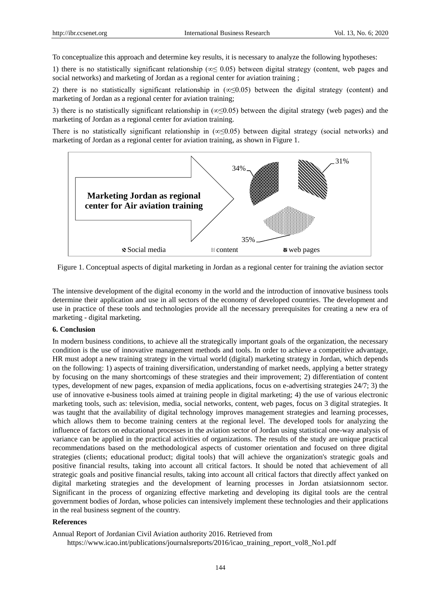To conceptualize this approach and determine key results, it is necessary to analyze the following hypotheses:

1) there is no statistically significant relationship (∞≤ 0.05) between digital strategy (content, web pages and social networks) and marketing of Jordan as a regional center for aviation training ;

2) there is no statistically significant relationship in (∞≤0.05) between the digital strategy (content) and marketing of Jordan as a regional center for aviation training;

3) there is no statistically significant relationship in (∞≤0.05) between the digital strategy (web pages) and the marketing of Jordan as a regional center for aviation training.

There is no statistically significant relationship in  $(\infty \le 0.05)$  between digital strategy (social networks) and marketing of Jordan as a regional center for aviation training, as shown in Figure 1.



Figure 1. Conceptual aspects of digital marketing in Jordan as a regional center for training the aviation sector

The intensive development of the digital economy in the world and the introduction of innovative business tools determine their application and use in all sectors of the economy of developed countries. The development and use in practice of these tools and technologies provide all the necessary prerequisites for creating a new era of marketing - digital marketing.

#### **6. Conclusion**

In modern business conditions, to achieve all the strategically important goals of the organization, the necessary condition is the use of innovative management methods and tools. In order to achieve a competitive advantage, HR must adopt a new training strategy in the virtual world (digital) marketing strategy in Jordan, which depends on the following: 1) aspects of training diversification, understanding of market needs, applying a better strategy by focusing on the many shortcomings of these strategies and their improvement; 2) differentiation of content types, development of new pages, expansion of media applications, focus on e-advertising strategies 24/7; 3) the use of innovative e-business tools aimed at training people in digital marketing; 4) the use of various electronic marketing tools, such as: television, media, social networks, content, web pages, focus on 3 digital strategies. It was taught that the availability of digital technology improves management strategies and learning processes, which allows them to become training centers at the regional level. The developed tools for analyzing the influence of factors on educational processes in the aviation sector of Jordan using statistical one-way analysis of variance can be applied in the practical activities of organizations. The results of the study are unique practical recommendations based on the methodological aspects of customer orientation and focused on three digital strategies (clients; educational product; digital tools) that will achieve the organization's strategic goals and positive financial results, taking into account all critical factors. It should be noted that achievement of all strategic goals and positive financial results, taking into account all critical factors that directly affect yanked on digital marketing strategies and the development of learning processes in Jordan atsiatsionnom sector. Significant in the process of organizing effective marketing and developing its digital tools are the central government bodies of Jordan, whose policies can intensively implement these technologies and their applications in the real business segment of the country.

#### **References**

Annual Report of Jordanian Civil Aviation authority 2016. Retrieved from

[https://www.icao.int/publications/journalsreports/2016/icao\\_training\\_report\\_vol8\\_No1.pdf](https://www.icao.int/publications/journalsreports/2016/icao_training_report_vol8_No1.pdf)